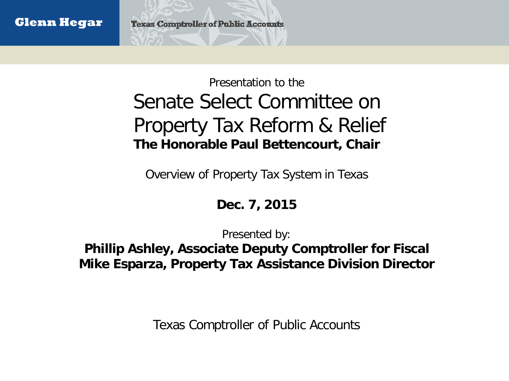#### Presentation to the Senate Select Committee on Property Tax Reform & Relief **The Honorable Paul Bettencourt, Chair**

Overview of Property Tax System in Texas

#### **Dec. 7, 2015**

Presented by:

**Phillip Ashley, Associate Deputy Comptroller for Fiscal Mike Esparza, Property Tax Assistance Division Director**

Texas Comptroller of Public Accounts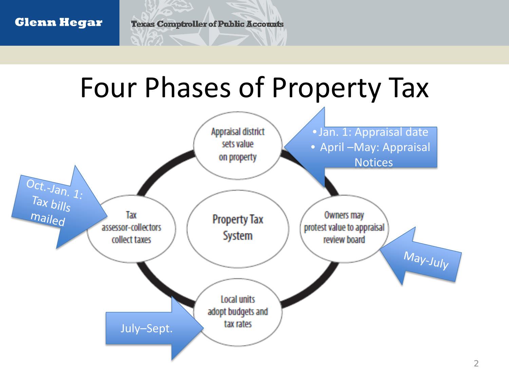#### **Glenn Hegar**

**Texas Comptroller of Public Accounts** 

### Four Phases of Property Tax



2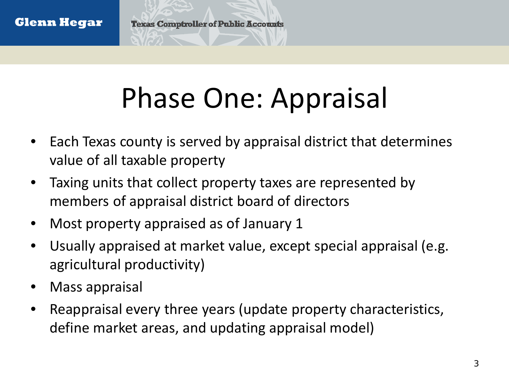## Phase One: Appraisal

- Each Texas county is served by appraisal district that determines value of all taxable property
- Taxing units that collect property taxes are represented by members of appraisal district board of directors
- Most property appraised as of January 1
- Usually appraised at market value, except special appraisal (e.g. agricultural productivity)
- Mass appraisal
- Reappraisal every three years (update property characteristics, define market areas, and updating appraisal model)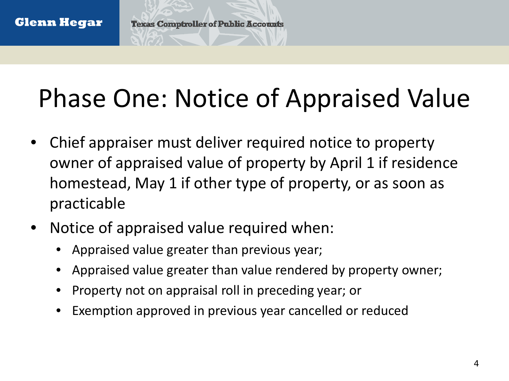### Phase One: Notice of Appraised Value

- Chief appraiser must deliver required notice to property owner of appraised value of property by April 1 if residence homestead, May 1 if other type of property, or as soon as practicable
- Notice of appraised value required when:
	- Appraised value greater than previous year;
	- Appraised value greater than value rendered by property owner;
	- Property not on appraisal roll in preceding year; or
	- Exemption approved in previous year cancelled or reduced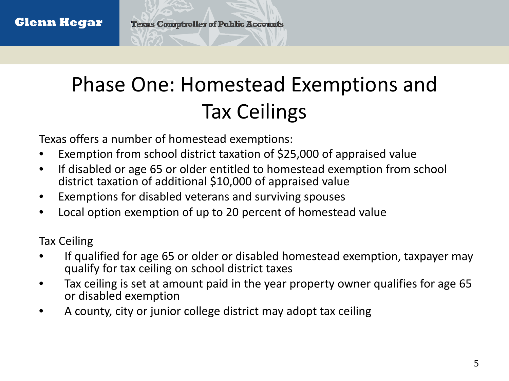### Phase One: Homestead Exemptions and Tax Ceilings

Texas offers a number of homestead exemptions:

- Exemption from school district taxation of \$25,000 of appraised value
- If disabled or age 65 or older entitled to homestead exemption from school district taxation of additional \$10,000 of appraised value
- Exemptions for disabled veterans and surviving spouses
- Local option exemption of up to 20 percent of homestead value

Tax Ceiling

- If qualified for age 65 or older or disabled homestead exemption, taxpayer may qualify for tax ceiling on school district taxes
- Tax ceiling is set at amount paid in the year property owner qualifies for age 65 or disabled exemption
- A county, city or junior college district may adopt tax ceiling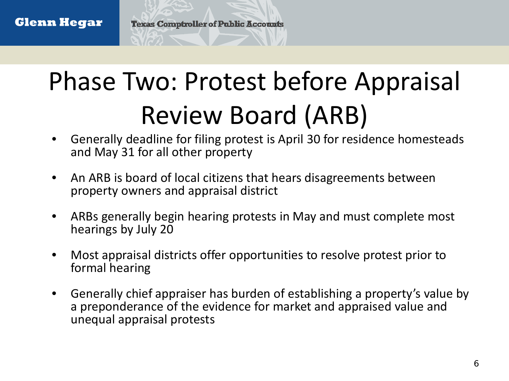### Phase Two: Protest before Appraisal Review Board (ARB)

- Generally deadline for filing protest is April 30 for residence homesteads and May 31 for all other property
- An ARB is board of local citizens that hears disagreements between property owners and appraisal district
- ARBs generally begin hearing protests in May and must complete most hearings by July 20
- Most appraisal districts offer opportunities to resolve protest prior to formal hearing
- Generally chief appraiser has burden of establishing a property's value by a preponderance of the evidence for market and appraised value and unequal appraisal protests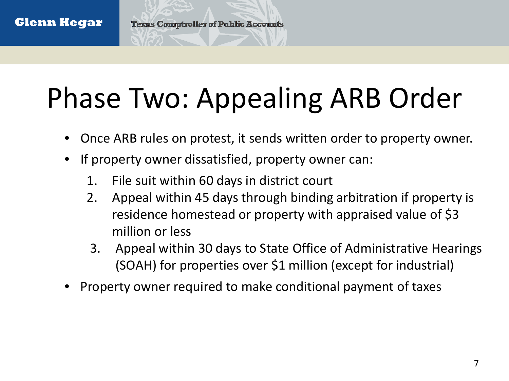# Phase Two: Appealing ARB Order

- Once ARB rules on protest, it sends written order to property owner.
- If property owner dissatisfied, property owner can:
	- 1. File suit within 60 days in district court
	- 2. Appeal within 45 days through binding arbitration if property is residence homestead or property with appraised value of \$3 million or less
	- 3. Appeal within 30 days to State Office of Administrative Hearings (SOAH) for properties over \$1 million (except for industrial)
- Property owner required to make conditional payment of taxes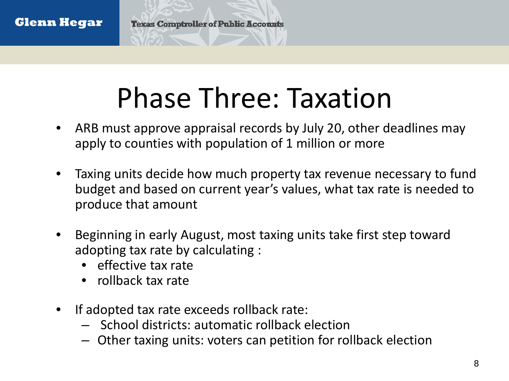## Phase Three: Taxation

- ARB must approve appraisal records by July 20, other deadlines may apply to counties with population of 1 million or more
- Taxing units decide how much property tax revenue necessary to fund budget and based on current year's values, what tax rate is needed to produce that amount
- Beginning in early August, most taxing units take first step toward adopting tax rate by calculating :
	- effective tax rate
	- rollback tax rate
- If adopted tax rate exceeds rollback rate:
	- School districts: automatic rollback election
	- Other taxing units: voters can petition for rollback election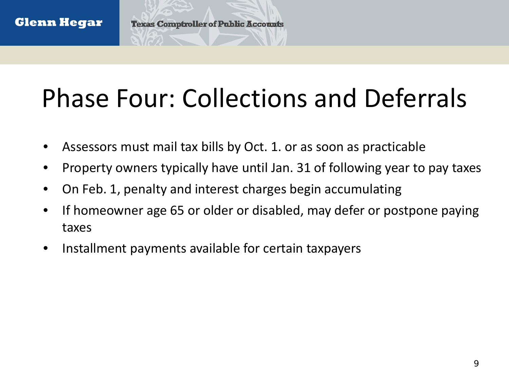### Phase Four: Collections and Deferrals

- Assessors must mail tax bills by Oct. 1. or as soon as practicable
- Property owners typically have until Jan. 31 of following year to pay taxes
- On Feb. 1, penalty and interest charges begin accumulating
- If homeowner age 65 or older or disabled, may defer or postpone paying taxes
- Installment payments available for certain taxpayers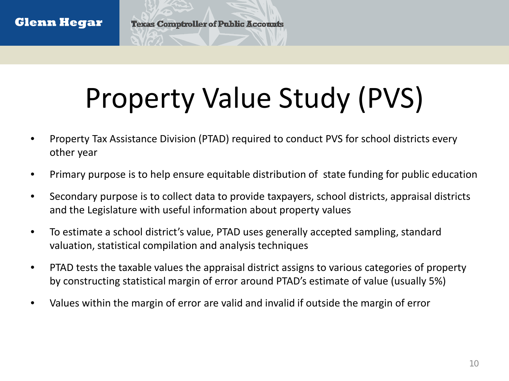# Property Value Study (PVS)

- Property Tax Assistance Division (PTAD) required to conduct PVS for school districts every other year
- Primary purpose is to help ensure equitable distribution of state funding for public education
- Secondary purpose is to collect data to provide taxpayers, school districts, appraisal districts and the Legislature with useful information about property values
- To estimate a school district's value, PTAD uses generally accepted sampling, standard valuation, statistical compilation and analysis techniques
- PTAD tests the taxable values the appraisal district assigns to various categories of property by constructing statistical margin of error around PTAD's estimate of value (usually 5%)
- Values within the margin of error are valid and invalid if outside the margin of error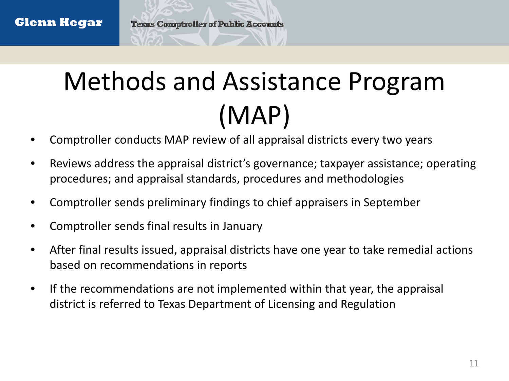### Methods and Assistance Program (MAP)

- Comptroller conducts MAP review of all appraisal districts every two years
- Reviews address the appraisal district's governance; taxpayer assistance; operating procedures; and appraisal standards, procedures and methodologies
- Comptroller sends preliminary findings to chief appraisers in September
- Comptroller sends final results in January
- After final results issued, appraisal districts have one year to take remedial actions based on recommendations in reports
- If the recommendations are not implemented within that year, the appraisal district is referred to Texas Department of Licensing and Regulation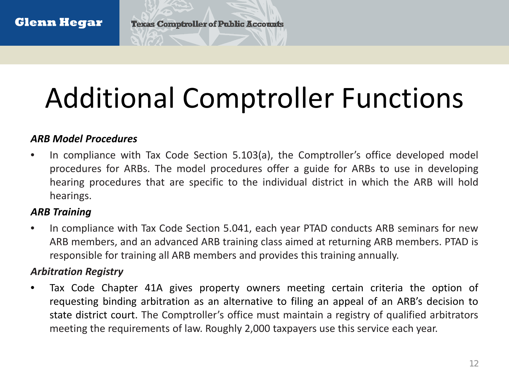# Additional Comptroller Functions

#### *ARB Model Procedures*

• In compliance with Tax Code Section 5.103(a), the Comptroller's office developed model procedures for ARBs. The model procedures offer a guide for ARBs to use in developing hearing procedures that are specific to the individual district in which the ARB will hold hearings.

#### *ARB Training*

• In compliance with Tax Code Section 5.041, each year PTAD conducts ARB seminars for new ARB members, and an advanced ARB training class aimed at returning ARB members. PTAD is responsible for training all ARB members and provides this training annually.

#### *Arbitration Registry*

• Tax Code Chapter 41A gives property owners meeting certain criteria the option of requesting binding arbitration as an alternative to filing an appeal of an ARB's decision to state district court. The Comptroller's office must maintain a registry of qualified arbitrators meeting the requirements of law. Roughly 2,000 taxpayers use this service each year.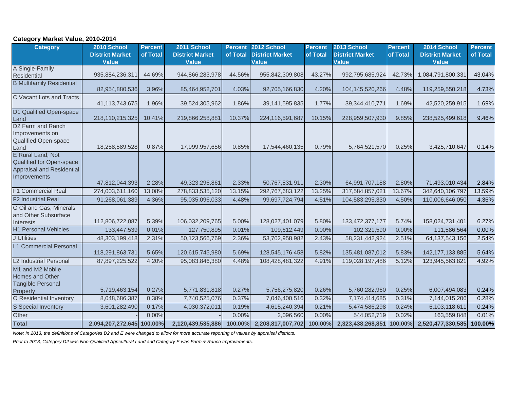#### **Category Market Value, 2010-2014**

| <b>Category</b>                                                                            | 2010 School<br><b>District Market</b> | <b>Percent</b><br>of Total | 2011 School<br><b>District Market</b> | <b>Percent</b><br>of Total | 2012 School<br><b>District Market</b> | <b>Percent</b><br>of Total | 2013 School<br><b>District Market</b> | <b>Percent</b><br>of Total | 2014 School<br><b>District Market</b> | <b>Percent</b><br>of Total |
|--------------------------------------------------------------------------------------------|---------------------------------------|----------------------------|---------------------------------------|----------------------------|---------------------------------------|----------------------------|---------------------------------------|----------------------------|---------------------------------------|----------------------------|
|                                                                                            | <b>Value</b>                          |                            | <b>Value</b>                          |                            | <b>Value</b>                          |                            | Value                                 |                            | <b>Value</b>                          |                            |
| A Single-Family<br>Residential                                                             | 935,884,236,311                       | 44.69%                     | 944,866,283,978                       | 44.56%                     | 955,842,309,808                       | 43.27%                     | 992,795,685,924                       | 42.73%                     | 1,084,791,800,331                     | 43.04%                     |
| <b>B Multifamily Residential</b>                                                           | 82,954,880,536                        | 3.96%                      | 85,464,952,701                        | 4.03%                      | 92,705,166,830                        | 4.20%                      | 104,145,520,266                       | 4.48%                      | 119,259,550,218                       | 4.73%                      |
| C Vacant Lots and Tracts                                                                   | 41,113,743,675                        | 1.96%                      | 39,524,305,962                        | 1.86%                      | 39, 141, 595, 835                     | 1.77%                      | 39,344,410,771                        | 1.69%                      | 42,520,259,915                        | 1.69%                      |
| D1 Qualified Open-space<br>Land                                                            | 218,110,215,325                       | 10.41%                     | 219,866,258,881                       | 10.37%                     | 224,116,591,687                       | 10.15%                     | 228,959,507,930                       | 9.85%                      | 238,525,499,618                       | 9.46%                      |
| D <sub>2</sub> Farm and Ranch<br>Improvements on<br>Qualified Open-space<br>Land           | 18,258,589,528                        | 0.87%                      | 17,999,957,656                        | 0.85%                      | 17,544,460,135                        | 0.79%                      | 5,764,521,570                         | 0.25%                      | 3,425,710,647                         | 0.14%                      |
| E Rural Land, Not<br>Qualified for Open-space<br>Appraisal and Residential<br>Improvements | 47,812,044,393                        | 2.28%                      | 49,323,296,861                        | 2.33%                      | 50,767,831,911                        | 2.30%                      | 64,991,707,188                        | 2.80%                      | 71,493,010,434                        | 2.84%                      |
| <b>F1 Commercial Real</b>                                                                  | 274,003,611,160                       | 13.08%                     | 278,833,535,120                       | 13.15%                     | 292,767,683,122                       | 13.25%                     | 317,584,857,021                       | 13.67%                     | 342,640,106,797                       | 13.59%                     |
| <b>F2 Industrial Real</b>                                                                  | 91,268,061,389                        | 4.36%                      | 95,035,096,033                        | 4.48%                      | 99,697,724,794                        | 4.51%                      | 104,583,295,330                       | 4.50%                      | 110,006,646,050                       | 4.36%                      |
| G Oil and Gas, Minerals<br>and Other Subsurface<br><b>Interests</b>                        | 112,806,722,087                       | 5.39%                      | 106,032,209,765                       | 5.00%                      | 128,027,401,079                       | 5.80%                      | 133,472,377,177                       | 5.74%                      | 158,024,731,401                       | 6.27%                      |
| <b>H1 Personal Vehicles</b>                                                                | 133,447,539                           | 0.01%                      | 127,750,895                           | 0.01%                      | 109,612,449                           | 0.00%                      | 102,321,590                           | 0.00%                      | 111,586,564                           | 0.00%                      |
| <b>J</b> Utilities                                                                         | 48,303,199,418                        | 2.31%                      | 50,123,566,769                        | 2.36%                      | 53,702,958,982                        | 2.43%                      | 58,231,442,924                        | 2.51%                      | 64, 137, 543, 156                     | 2.54%                      |
| <b>L1 Commercial Personal</b>                                                              | 118,291,863,731                       | 5.65%                      | 120,615,745,980                       | 5.69%                      | 128,545,176,458                       | 5.82%                      | 135,481,087,012                       | 5.83%                      | 142, 177, 133, 885                    | 5.64%                      |
| <b>L2 Industrial Personal</b>                                                              | 87,897,225,522                        | 4.20%                      | 95,083,846,380                        | 4.48%                      | 108,428,481,322                       | 4.91%                      | 119,028,197,486                       | 5.12%                      | 123,945,563,821                       | 4.92%                      |
| M1 and M2 Mobile<br>Homes and Other<br><b>Tangible Personal</b><br>Property                | 5,719,463,154                         | 0.27%                      | 5,771,831,818                         | 0.27%                      | 5,756,275,820                         | 0.26%                      | 5,760,282,960                         | 0.25%                      | 6,007,494,083                         | 0.24%                      |
| O Residential Inventory                                                                    | 8,048,686,387                         | 0.38%                      | 7,740,525,076                         | 0.37%                      | 7,046,400,516                         | 0.32%                      | 7,174,414,685                         | 0.31%                      | 7,144,015,206                         | 0.28%                      |
| S Special Inventory                                                                        | 3,601,282,490                         | 0.17%                      | 4,030,372,011                         | 0.19%                      | 4,615,240,394                         | 0.21%                      | 5,474,586,298                         | 0.24%                      | 6,103,118,611                         | 0.24%                      |
| Other                                                                                      |                                       | 0.00%                      |                                       | 0.00%                      | 2,096,560                             | 0.00%                      | 544,052,719                           | 0.02%                      | 163,559,848                           | 0.01%                      |
| <b>Total</b>                                                                               | 2,094,207,272,645 100.00%             |                            | 2,120,439,535,886                     | 100.00%                    | 2,208,817,007,702                     | 100.00%                    | 2,323,438,268,851                     | 100.00%                    | 2,520,477,330,585                     | 100.00%                    |

*Note: In 2013, the definitions of Categories D2 and E were changed to allow for more accurate reporting of values by appraisal districts.* 

*Prior to 2013, Category D2 was Non-Qualified Agricultural Land and Category E was Farm & Ranch Improvements.*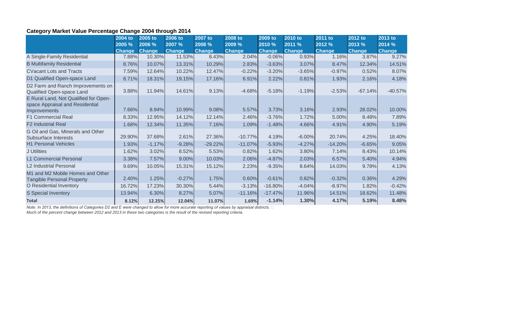#### **Category Market Value Percentage Change 2004 through 2014**

|                                                                                          | 2004 to<br>2005 % | 2005 to<br>2006 % | 2006 to<br>2007 % | 2007 to<br>2008 % | 2008 to<br>2009 % | 2009 to<br>2010 % | 2010 to<br>2011 % | 2011 to<br>2012 % | 2012 to<br>2013 % | 2013 to<br>2014 % |
|------------------------------------------------------------------------------------------|-------------------|-------------------|-------------------|-------------------|-------------------|-------------------|-------------------|-------------------|-------------------|-------------------|
|                                                                                          | <b>Change</b>     | <b>Change</b>     | <b>Change</b>     | <b>Change</b>     | <b>Change</b>     | <b>Change</b>     | <b>Change</b>     | <b>Change</b>     | <b>Change</b>     | <b>Change</b>     |
| A Single-Family Residential                                                              | 7.88%             | 10.30%            | 11.53%            | 8.43%             | 2.04%             | $-0.06%$          | 0.93%             | 1.16%             | 3.87%             | 9.27%             |
| <b>B Multifamily Residential</b>                                                         | 8.76%             | 10.07%            | 13.31%            | 10.29%            | 2.83%             | $-3.63%$          | 3.07%             | 8.47%             | 12.34%            | 14.51%            |
| <b>CVacant Lots and Tracts</b>                                                           | 7.59%             | 12.64%            | 10.22%            | 12.47%            | $-0.22%$          | $-3.20%$          | $-3.65%$          | $-0.97%$          | 0.52%             | 8.07%             |
| D1 Qualified Open-space Land                                                             | 8.71%             | 18.31%            | 19.15%            | 17.16%            | 6.91%             | 2.22%             | 0.81%             | 1.93%             | 2.16%             | 4.18%             |
| D2 Farm and Ranch Improvements on<br>Qualified Open-space Land                           | 3.88%             | 11.94%            | 14.61%            | 9.13%             | $-4.68%$          | $-5.18%$          | $-1.19%$          | $-2.53%$          | $-67.14%$         | $-40.57%$         |
| E Rural Land, Not Qualified for Open-<br>space Appraisal and Residential<br>Improvements | 7.66%             | 8.94%             | 10.99%            | 9.08%             | 5.57%             | 3.73%             | 3.16%             | 2.93%             | 28.02%            | 10.00%            |
| <b>F1 Commercial Real</b>                                                                | 8.33%             | 12.95%            | 14.12%            | 12.14%            | 2.46%             | $-3.76%$          | 1.72%             | 5.00%             | 8.48%             | 7.89%             |
| <b>F2 Industrial Real</b>                                                                | 1.68%             | 12.34%            | 11.35%            | 7.16%             | 1.09%             | $-1.48%$          | 4.66%             | 4.91%             | 4.90%             | 5.19%             |
| G Oil and Gas, Minerals and Other<br>Subsurface Interests                                | 29.90%            | 37.68%            | 2.61%             | 27.36%            | $-10.77%$         | 4.19%             | $-6.00%$          | 20.74%            | 4.25%             | 18.40%            |
| <b>H1 Personal Vehicles</b>                                                              | 1.93%             | $-1.17%$          | $-9.28%$          | $-29.22%$         | $-11.07%$         | $-5.93%$          | $-4.27%$          | $-14.20%$         | $-6.65%$          | 9.05%             |
| J Utilities                                                                              | 1.62%             | 3.02%             | 8.52%             | 5.53%             | 0.82%             | 1.62%             | 3.80%             | 7.14%             | 8.43%             | 10.14%            |
| <b>L1 Commercial Personal</b>                                                            | 3.38%             | 7.57%             | 9.00%             | 10.03%            | 2.06%             | $-4.87%$          | 2.03%             | 6.57%             | 5.40%             | 4.94%             |
| L2 Industrial Personal                                                                   | 9.69%             | 10.05%            | 15.31%            | 15.12%            | 2.23%             | $-9.35%$          | 8.64%             | 14.03%            | 9.78%             | 4.13%             |
| M1 and M2 Mobile Homes and Other<br><b>Tangible Personal Property</b>                    | 2.40%             | 1.25%             | $-0.27%$          | 1.75%             | 0.60%             | $-0.61%$          | 0.82%             | $-0.32%$          | 0.36%             | 4.29%             |
| O Residential Inventory                                                                  | 16.72%            | 17.23%            | 30.30%            | 5.44%             | $-3.13%$          | $-16.80%$         | $-4.04%$          | $-8.97%$          | 1.82%             | $-0.42%$          |
| S Special Inventory                                                                      | 13.94%            | 6.30%             | 8.27%             | 5.07%             | $-11.16%$         | $-17.47%$         | 11.96%            | 14.51%            | 18.62%            | 11.48%            |
| <b>Total</b>                                                                             | 8.12%             | 12.25%            | 12.04%            | 11.07%            | 1.69%             | $-1.14%$          | 1.30%             | 4.17%             | 5.19%             | 8.48%             |

*Note: In 2013, the definitions of Categories D2 and E were changed to allow for more accurate reporting of values by appraisal districts.* 

*Much of the percent change between 2012 and 2013 in these two categories is the result of the revised reporting criteria.*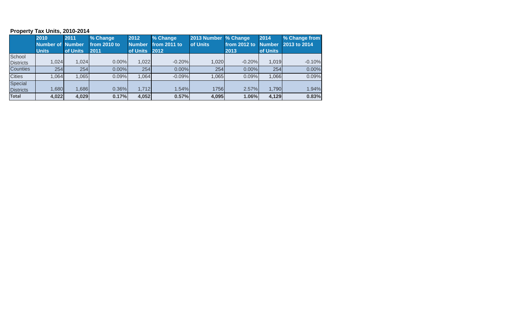#### **Property Tax Units, 2010-2014**

|                             | 2010         | 2011     | % Change     | 2012          | % Change     | 2013 Number % Change |              | 2014          | % Change from |
|-----------------------------|--------------|----------|--------------|---------------|--------------|----------------------|--------------|---------------|---------------|
|                             | Number of    | Number   | from 2010 to | <b>Number</b> | from 2011 to | of Units             | from 2012 to | <b>Number</b> | 2013 to 2014  |
|                             | <b>Units</b> | of Units | 2011         | of Units 2012 |              |                      | 2013         | of Units      |               |
| School                      |              |          |              |               |              |                      |              |               |               |
| <b>Districts</b>            | 1,024        | 1,024    | $0.00\%$     | 1,022         | $-0.20%$     | 1,020                | $-0.20%$     | 1,019         | $-0.10%$      |
| <b>Counties</b>             | 254          | 254      | 0.00%        | 254           | $0.00\%$     | 254                  | 0.00%        | 254           | 0.00%         |
| <b>Cities</b>               | .064         | 1,065    | 0.09%        | 1,064         | $-0.09%$     | 1,065                | 0.09%        | .066          | 0.09%         |
| Special<br><b>Districts</b> | 0.680        | .686     | 0.36%        | 1,712         | 1.54%        | 1756                 | 2.57%        | 1,790         | 1.94%         |
| <b>Total</b>                | 4,022        | 4,029    | 0.17%        | 4,052         | 0.57%        | 4,095                | 1.06%        | 4,129         | 0.83%         |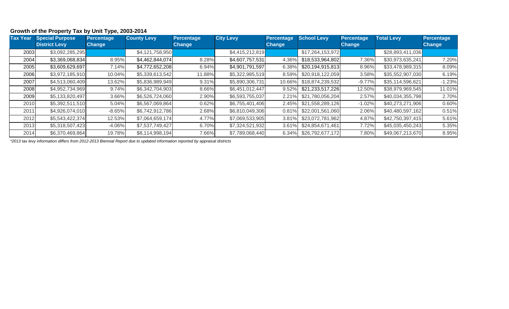#### **Growth of the Property Tax by Unit Type, 2003-2014**

| <b>Tax Year</b> | <b>Special Purpose</b> | <b>Percentage</b> | <b>County Levy</b> | <b>Percentage</b> | <b>City Levy</b> | <b>Percentage</b> | <b>School Levy</b> | <b>Percentage</b> | <b>Total Levy</b> | Percentage    |
|-----------------|------------------------|-------------------|--------------------|-------------------|------------------|-------------------|--------------------|-------------------|-------------------|---------------|
|                 | <b>District Levy</b>   | <b>Change</b>     |                    | <b>Change</b>     |                  | <b>Change</b>     |                    | <b>Change</b>     |                   | <b>Change</b> |
| 2003            | \$3,092,285,295        |                   | \$4,121,758,950    |                   | \$4,415,212,819  |                   | \$17,264,153,972   |                   | \$28,893,411,036  |               |
| 2004            | \$3,369,068,834        | 8.95%             | \$4,462,844,074    | 8.28%             | \$4,607,757,531  | 4.36%             | \$18,533,964,802   | 7.36%             | \$30,973,635,241  | 7.20%         |
| 2005            | \$3,609,629,697        | 7.14%             | \$4,772,652,208    | 6.94%             | \$4,901,791,597  | 6.38%             | \$20,194,915,813   | 8.96%             | \$33,478,989,315  | 8.09%         |
| 2006            | \$3,972,185,910        | 10.04%            | \$5,339,613,542    | 11.88%            | \$5,322,985,519  | 8.59%             | \$20,918,122,059   | 3.58%             | \$35,552,907,030  | 6.19%         |
| 2007            | \$4,513,060,409        | 13.62%            | \$5,836,989,949    | 9.31%             | \$5,890,306,731  | 10.66%            | \$18,874,239,532   | $-9.77%$          | \$35,114,596,621  | $-1.23%$      |
| 2008            | \$4,952,734,969        | 9.74%             | \$6,342,704,903    | 8.66%             | \$6,451,012,447  | 9.52%             | \$21,233,517,226   | 12.50%            | \$38,979,969,545  | 11.01%        |
| 2009            | \$5,133,820,497        | 3.66%             | \$6,526,724,060    | 2.90%             | \$6,593,755,037  | 2.21%             | \$21,780,056,204   | 2.57%             | \$40,034,355,798  | 2.70%         |
| 2010            | \$5,392,511,510        | 5.04%             | \$6,567,069,864    | 0.62%             | \$6,755,401,406  | 2.45%             | \$21,558,289,126   | $-1.02%$          | \$40,273,271,906  | 0.60%         |
| 2011            | \$4,926,074,010        | $-8.65%$          | \$6,742,912,786    | 2.68%             | \$6,810,049,306  | 0.81%             | \$22,001,561,060   | 2.06%             | \$40,480,597,162  | 0.51%         |
| 2012            | \$5,543,422,374        | 12.53%            | \$7,064,659,174    | 4.77%             | \$7,069,533,905  | 3.81%             | \$23,072,781,962   | 4.87%             | \$42,750,397,415  | 5.61%         |
| 2013            | \$5,318,507,423        | $-4.06%$          | \$7,537,749,427    | 6.70%             | \$7,324,521,932  | 3.61%             | \$24,854,671,461   | 7.72%             | \$45,035,450,243  | 5.35%         |
| 2014            | \$6,370,469,864        | 19.78%            | \$8,114,998,194    | 7.66%             | \$7,789,068,440  | 6.34%             | \$26,792,677,172   | 7.80%             | \$49,067,213,670  | 8.95%         |

*\*2013 tax levy information differs from 2012-2013 Biennial Report due to updated information reported by appraisal districts*